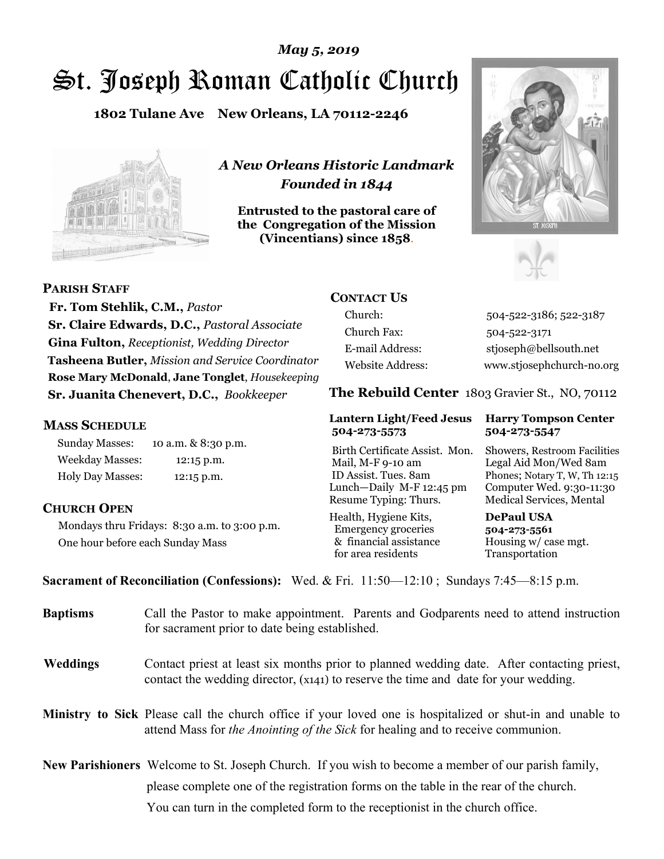# St. Joseph Roman Catholic Church *May 5, 2019*

**1802 Tulane Ave New Orleans, LA 70112-2246**



*A New Orleans Historic Landmark Founded in 1844* 

**Entrusted to the pastoral care of the Congregation of the Mission (Vincentians) since 1858**.





**PARISH STAFF**

 **Fr. Tom Stehlik, C.M.,** *Pastor* **Sr. Claire Edwards, D.C.,** *Pastoral Associate* **Gina Fulton,** *Receptionist, Wedding Director* **Tasheena Butler,** *Mission and Service Coordinator* **Rose Mary McDonald**, **Jane Tonglet**, *Housekeeping* **Sr. Juanita Chenevert, D.C.,** *Bookkeeper* 

### **MASS SCHEDULE**

Sunday Masses: 10 a.m. & 8:30 p.m. Weekday Masses: 12:15 p.m. Holy Day Masses: 12:15 p.m.

### **CHURCH OPEN**

Mondays thru Fridays: 8:30 a.m. to 3:00 p.m. One hour before each Sunday Mass

### **CONTACT US**

Church: 504-522-3186; 522-3187 Church Fax: 504-522-3171 E-mail Address: stjoseph@bellsouth.net Website Address: www.stjosephchurch-no.org

**The Rebuild Center** 1803 Gravier St., NO, 70112

#### **Lantern Light/Feed Jesus Harry Tompson Center 504-273-5573 504-273-5547**

Birth Certificate Assist. Mon. Showers, Restroom Facilities Mail, M-F 9-10 am Legal Aid Mon/Wed 8am ID Assist. Tues. 8am Phones; Notary T, W, Th 12:15 Lunch—Daily M-F 12:45 pm Computer Wed. 9:30-11:30 Resume Typing: Thurs. Medical Services, Mental

Health, Hygiene Kits, **DePaul USA**  Emergency groceries **504-273-5561** & financial assistance Housing w/ case mgt.<br>for area residents Transportation for area residents

**Sacrament of Reconciliation (Confessions):** Wed. & Fri. 11:50—12:10 ; Sundays 7:45—8:15 p.m.

| <b>Baptisms</b> | Call the Pastor to make appointment. Parents and Godparents need to attend instruction<br>for sacrament prior to date being established.                                                            |  |
|-----------------|-----------------------------------------------------------------------------------------------------------------------------------------------------------------------------------------------------|--|
| <b>Weddings</b> | Contact priest at least six months prior to planned wedding date. After contacting priest,<br>contact the wedding director, (x141) to reserve the time and date for your wedding.                   |  |
|                 | Ministry to Sick Please call the church office if your loved one is hospitalized or shut-in and unable to<br>attend Mass for <i>the Anointing of the Sick</i> for healing and to receive communion. |  |
|                 | <b>New Parishioners</b> Welcome to St. Joseph Church. If you wish to become a member of our parish family,                                                                                          |  |
|                 | please complete one of the registration forms on the table in the rear of the church.                                                                                                               |  |
|                 | You can turn in the completed form to the receptionist in the church office.                                                                                                                        |  |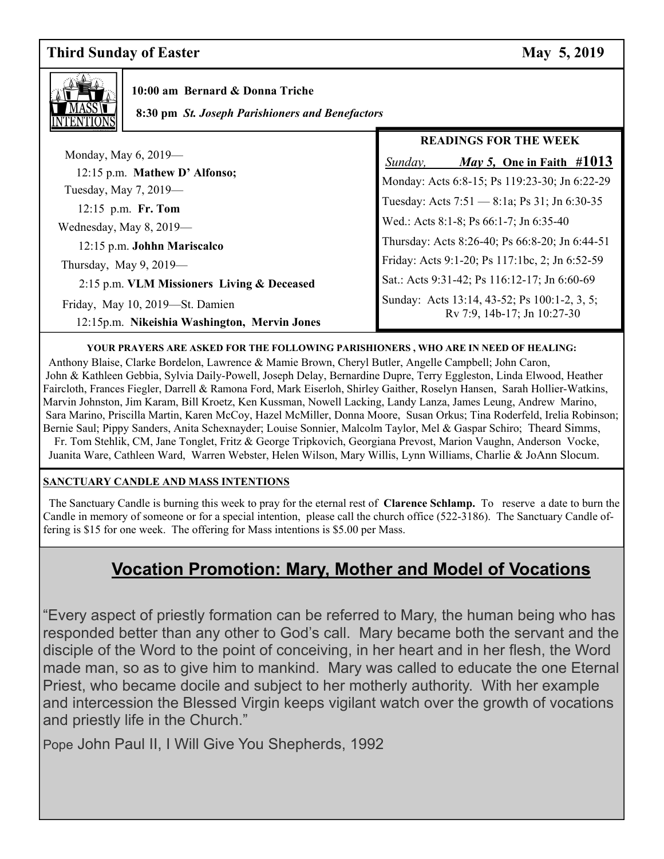### **Third Sunday of Easter May 5, 2019**



 **10:00 am Bernard & Donna Triche**

 **8:30 pm** *St. Joseph Parishioners and Benefactors*

|                                                                                 | <b>READINGS FOR THE WEEK</b>                                                                 |
|---------------------------------------------------------------------------------|----------------------------------------------------------------------------------------------|
| Monday, May 6, 2019—<br>12:15 p.m. Mathew D' Alfonso;                           | <i>May 5,</i> One in Faith $\#1013$<br>Sunday,                                               |
| Tuesday, May 7, 2019—                                                           | Monday: Acts 6:8-15; Ps 119:23-30; Jn 6:22-29                                                |
| 12:15 p.m. Fr. Tom                                                              | Tuesday: Acts 7:51 - 8:1a; Ps 31; Jn 6:30-35<br>Wed.: Acts 8:1-8; Ps 66:1-7; Jn 6:35-40      |
| Wednesday, May $8, 2019$ —<br>12:15 p.m. Johhn Mariscalco                       | Thursday: Acts 8:26-40; Ps 66:8-20; Jn 6:44-51                                               |
| Thursday, May $9, 2019$ —                                                       | Friday: Acts 9:1-20; Ps 117:1bc, 2; Jn 6:52-59                                               |
| 2:15 p.m. VLM Missioners Living & Deceased                                      | Sat.: Acts 9:31-42; Ps 116:12-17; Jn 6:60-69<br>Sunday: Acts 13:14, 43-52; Ps 100:1-2, 3, 5; |
| Friday, May 10, 2019-St. Damien<br>12:15p.m. Nikeishia Washington, Mervin Jones | Rv 7:9, 14b-17; Jn 10:27-30                                                                  |

#### **YOUR PRAYERS ARE ASKED FOR THE FOLLOWING PARISHIONERS , WHO ARE IN NEED OF HEALING:**

 Anthony Blaise, Clarke Bordelon, Lawrence & Mamie Brown, Cheryl Butler, Angelle Campbell; John Caron, John & Kathleen Gebbia, Sylvia Daily-Powell, Joseph Delay, Bernardine Dupre, Terry Eggleston, Linda Elwood, Heather Faircloth, Frances Fiegler, Darrell & Ramona Ford, Mark Eiserloh, Shirley Gaither, Roselyn Hansen, Sarah Hollier-Watkins, Marvin Johnston, Jim Karam, Bill Kroetz, Ken Kussman, Nowell Lacking, Landy Lanza, James Leung, Andrew Marino, Sara Marino, Priscilla Martin, Karen McCoy, Hazel McMiller, Donna Moore, Susan Orkus; Tina Roderfeld, Irelia Robinson; Bernie Saul; Pippy Sanders, Anita Schexnayder; Louise Sonnier, Malcolm Taylor, Mel & Gaspar Schiro; Theard Simms, Fr. Tom Stehlik, CM, Jane Tonglet, Fritz & George Tripkovich, Georgiana Prevost, Marion Vaughn, Anderson Vocke, Juanita Ware, Cathleen Ward, Warren Webster, Helen Wilson, Mary Willis, Lynn Williams, Charlie & JoAnn Slocum.

#### **SANCTUARY CANDLE AND MASS INTENTIONS**

 The Sanctuary Candle is burning this week to pray for the eternal rest of **Clarence Schlamp.** To reserve a date to burn the Candle in memory of someone or for a special intention, please call the church office (522-3186). The Sanctuary Candle offering is \$15 for one week. The offering for Mass intentions is \$5.00 per Mass.

## **Vocation Promotion: Mary, Mother and Model of Vocations**

"Every aspect of priestly formation can be referred to Mary, the human being who has responded better than any other to God's call. Mary became both the servant and the disciple of the Word to the point of conceiving, in her heart and in her flesh, the Word made man, so as to give him to mankind. Mary was called to educate the one Eternal Priest, who became docile and subject to her motherly authority. With her example and intercession the Blessed Virgin keeps vigilant watch over the growth of vocations and priestly life in the Church."

Pope John Paul II, I Will Give You Shepherds, 1992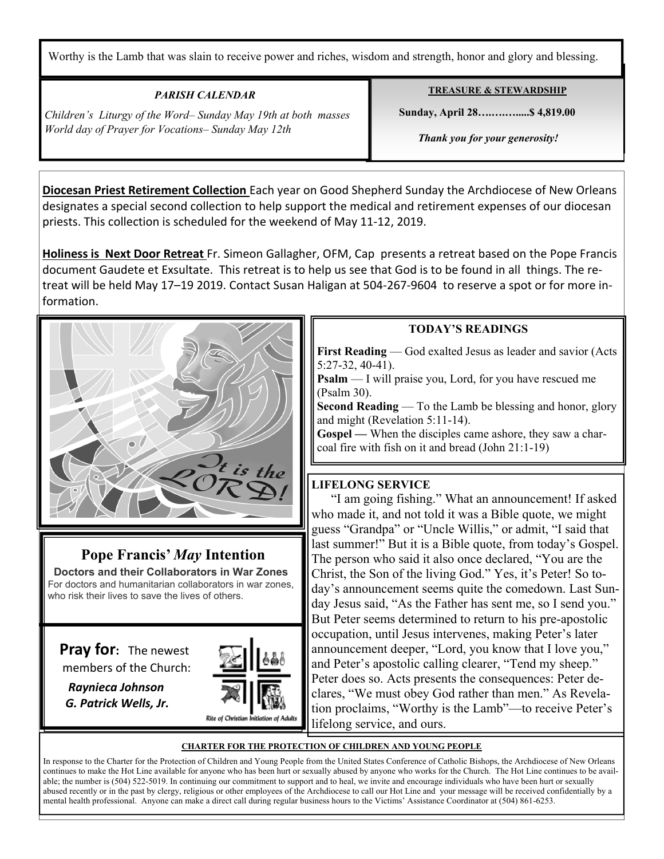Worthy is the Lamb that was slain to receive power and riches, wisdom and strength, honor and glory and blessing.

### *PARISH CALENDAR*

*Children's Liturgy of the Word– Sunday May 19th at both masses World day of Prayer for Vocations– Sunday May 12th* 

Ξ

### **TREASURE & STEWARDSHIP**

 **Sunday, April 28….….….....\$ 4,819.00** 

 *Thank you for your generosity!* 

**Diocesan Priest Retirement Collection** Each year on Good Shepherd Sunday the Archdiocese of New Orleans designates a special second collection to help support the medical and retirement expenses of our diocesan priests. This collection is scheduled for the weekend of May 11-12, 2019.

**Holiness is Next Door Retreat** Fr. Simeon Gallagher, OFM, Cap presents a retreat based on the Pope Francis document Gaudete et Exsultate. This retreat is to help us see that God is to be found in all things. The retreat will be held May 17–19 2019. Contact Susan Haligan at 504-267-9604 to reserve a spot or for more information.



### **Pope Francis'** *May* **Intention**

 **Doctors and their Collaborators in War Zones** For doctors and humanitarian collaborators in war zones, who risk their lives to save the lives of others.

**Pray for:** The newest members of the Church:

 *Raynieca Johnson G. Patrick Wells, Jr.* 



### **TODAY'S READINGS**

**First Reading** — God exalted Jesus as leader and savior (Acts 5:27-32, 40-41).

**Psalm** — I will praise you, Lord, for you have rescued me (Psalm 30).

**Second Reading** — To the Lamb be blessing and honor, glory and might (Revelation 5:11-14).

**Gospel —** When the disciples came ashore, they saw a charcoal fire with fish on it and bread (John 21:1-19)

### **LIFELONG SERVICE**

 "I am going fishing." What an announcement! If asked who made it, and not told it was a Bible quote, we might guess "Grandpa" or "Uncle Willis," or admit, "I said that last summer!" But it is a Bible quote, from today's Gospel. The person who said it also once declared, "You are the Christ, the Son of the living God." Yes, it's Peter! So today's announcement seems quite the comedown. Last Sunday Jesus said, "As the Father has sent me, so I send you." But Peter seems determined to return to his pre-apostolic occupation, until Jesus intervenes, making Peter's later announcement deeper, "Lord, you know that I love you," and Peter's apostolic calling clearer, "Tend my sheep." Peter does so. Acts presents the consequences: Peter declares, "We must obey God rather than men." As Revelation proclaims, "Worthy is the Lamb"—to receive Peter's lifelong service, and ours.

### **CHARTER FOR THE PROTECTION OF CHILDREN AND YOUNG PEOPLE**

In response to the Charter for the Protection of Children and Young People from the United States Conference of Catholic Bishops, the Archdiocese of New Orleans continues to make the Hot Line available for anyone who has been hurt or sexually abused by anyone who works for the Church. The Hot Line continues to be available; the number is (504) 522-5019. In continuing our commitment to support and to heal, we invite and encourage individuals who have been hurt or sexually abused recently or in the past by clergy, religious or other employees of the Archdiocese to call our Hot Line and your message will be received confidentially by a mental health professional. Anyone can make a direct call during regular business hours to the Victims' Assistance Coordinator at (504) 861-6253.